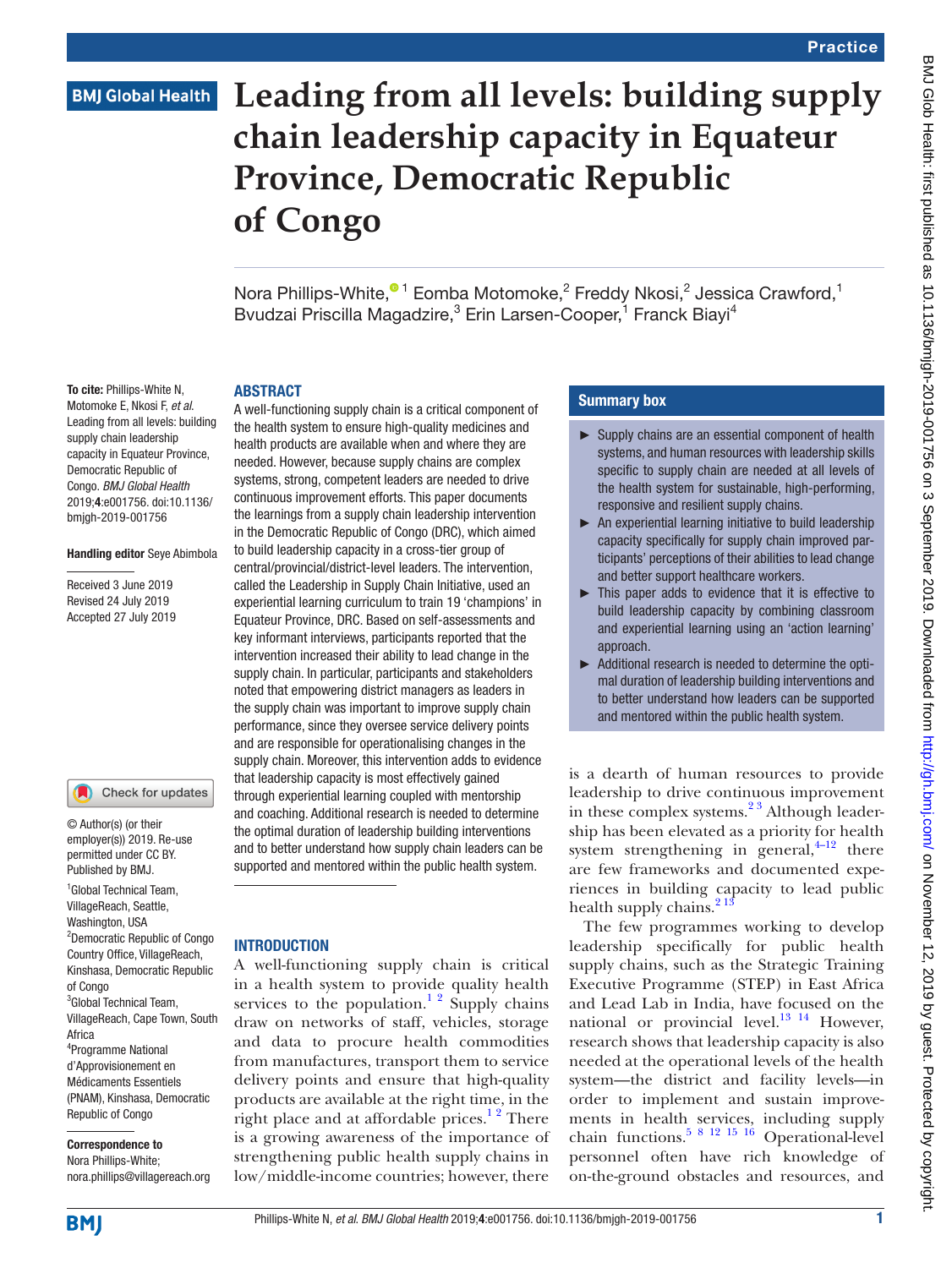# **BMJ Global Health**

# **Leading from all levels: building supply chain leadership capacity in Equateur Province, Democratic Republic of Congo**

Nora Phillips-White,<sup>®1</sup> Eomba Motomoke,<sup>2</sup> Freddy Nkosi,<sup>2</sup> Jessica Crawford,<sup>1</sup> Bvudzai Priscilla Magadzire,<sup>3</sup> Erin Larsen-Cooper,<sup>1</sup> Franck Biayi<sup>4</sup>

#### **ARSTRACT**

To cite: Phillips-White N, Motomoke E, Nkosi F, *et al*. Leading from all levels: building supply chain leadership capacity in Equateur Province, Democratic Republic of Congo. *BMJ Global Health* 2019;4:e001756. doi:10.1136/ bmjgh-2019-001756

#### Handling editor Seye Abimbola

Received 3 June 2019 Revised 24 July 2019 Accepted 27 July 2019



© Author(s) (or their employer(s)) 2019. Re-use permitted under CC BY. Published by BMJ.

<sup>1</sup>Global Technical Team, VillageReach, Seattle, Washington, USA <sup>2</sup>Democratic Republic of Congo Country Office, VillageReach, Kinshasa, Democratic Republic of Congo <sup>3</sup>Global Technical Team, VillageReach, Cape Town, South Africa 4 Programme National d'Approvisionement en Médicaments Essentiels (PNAM), Kinshasa, Democratic Republic of Congo

Correspondence to Nora Phillips-White; nora.phillips@villagereach.org A well-functioning supply chain is a critical component of the health system to ensure high-quality medicines and health products are available when and where they are needed. However, because supply chains are complex systems, strong, competent leaders are needed to drive continuous improvement efforts. This paper documents the learnings from a supply chain leadership intervention in the Democratic Republic of Congo (DRC), which aimed to build leadership capacity in a cross-tier group of central/provincial/district-level leaders. The intervention, called the Leadership in Supply Chain Initiative, used an experiential learning curriculum to train 19 'champions' in Equateur Province, DRC. Based on self-assessments and key informant interviews, participants reported that the intervention increased their ability to lead change in the supply chain. In particular, participants and stakeholders noted that empowering district managers as leaders in the supply chain was important to improve supply chain performance, since they oversee service delivery points and are responsible for operationalising changes in the supply chain. Moreover, this intervention adds to evidence that leadership capacity is most effectively gained through experiential learning coupled with mentorship and coaching. Additional research is needed to determine the optimal duration of leadership building interventions and to better understand how supply chain leaders can be supported and mentored within the public health system.

# **INTRODUCTION**

A well-functioning supply chain is critical in a health system to provide quality health services to the population.<sup>1 2</sup> Supply chains draw on networks of staff, vehicles, storage and data to procure health commodities from manufactures, transport them to service delivery points and ensure that high-quality products are available at the right time, in the right place and at affordable prices.<sup>12</sup> There is a growing awareness of the importance of strengthening public health supply chains in low/middle-income countries; however, there

#### Summary box

- ► Supply chains are an essential component of health systems, and human resources with leadership skills specific to supply chain are needed at all levels of the health system for sustainable, high-performing, responsive and resilient supply chains.
- ► An experiential learning initiative to build leadership capacity specifically for supply chain improved participants' perceptions of their abilities to lead change and better support healthcare workers.
- ► This paper adds to evidence that it is effective to build leadership capacity by combining classroom and experiential learning using an 'action learning' approach.
- ► Additional research is needed to determine the optimal duration of leadership building interventions and to better understand how leaders can be supported and mentored within the public health system.

is a dearth of human resources to provide leadership to drive continuous improvement in these complex systems[.2 3](#page-4-1) Although leadership has been elevated as a priority for health system strengthening in general, $4-12$  there are few frameworks and documented experiences in building capacity to lead public health supply chains.<sup>[2 13](#page-4-1)</sup>

The few programmes working to develop leadership specifically for public health supply chains, such as the Strategic Training Executive Programme (STEP) in East Africa and Lead Lab in India, have focused on the national or provincial level. $^{13}$   $^{14}$  However, research shows that leadership capacity is also needed at the operational levels of the health system—the district and facility levels—in order to implement and sustain improvements in health services, including supply chain functions.<sup>[5 8 12 15 16](#page-5-1)</sup> Operational-level personnel often have rich knowledge of on-the-ground obstacles and resources, and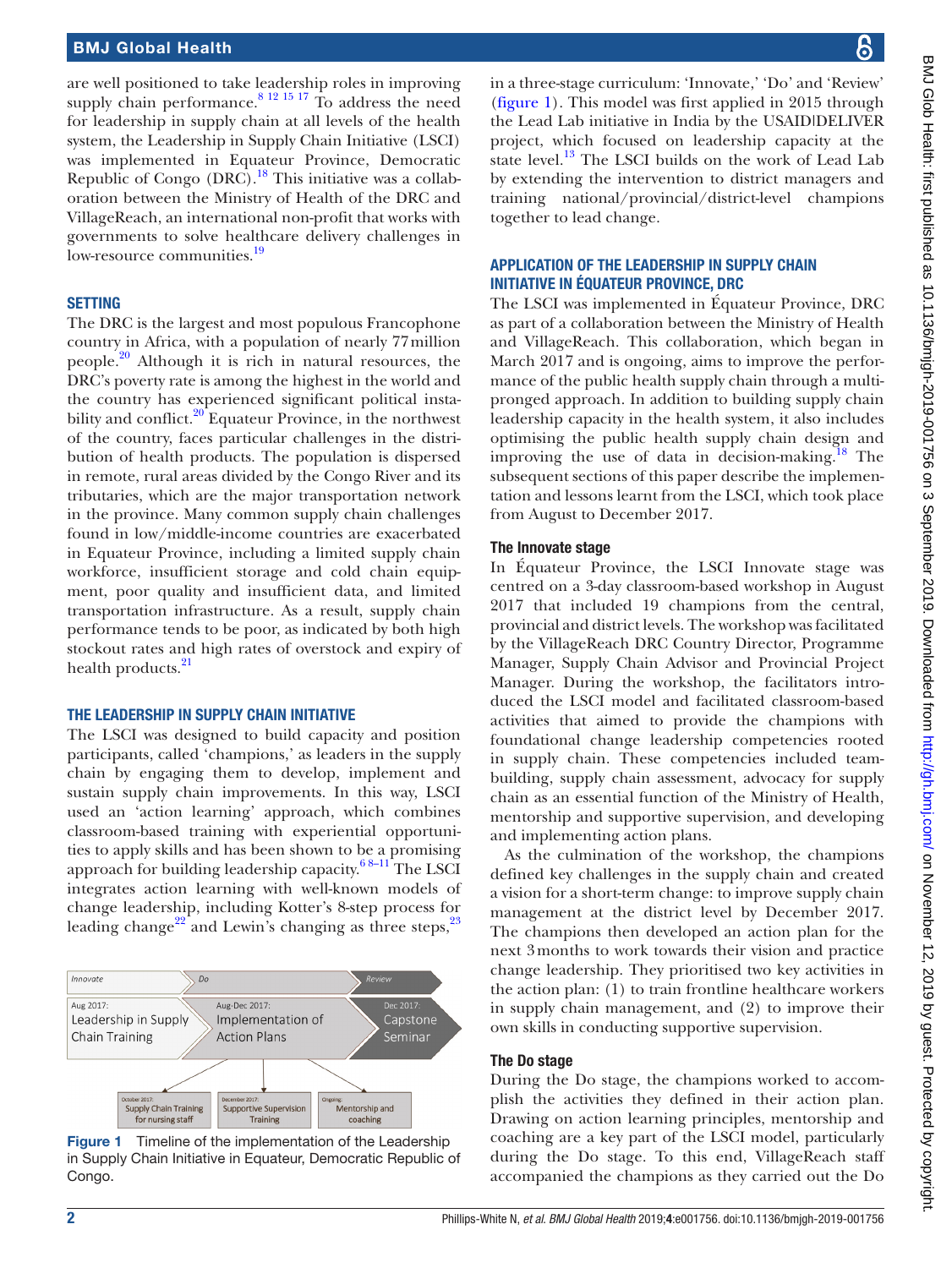are well positioned to take leadership roles in improving supply chain performance. $8^{12}$  15 17 To address the need for leadership in supply chain at all levels of the health system, the Leadership in Supply Chain Initiative (LSCI) was implemented in Equateur Province, Democratic Republic of Congo  $(DRC)$ .<sup>18</sup> This initiative was a collaboration between the Ministry of Health of the DRC and VillageReach, an international non-profit that works with governments to solve healthcare delivery challenges in low-resource communities.<sup>[19](#page-5-4)</sup>

#### **SETTING**

The DRC is the largest and most populous Francophone country in Africa, with a population of nearly 77million people.[20](#page-5-5) Although it is rich in natural resources, the DRC's poverty rate is among the highest in the world and the country has experienced significant political instability and conflict. $^{20}$  Equateur Province, in the northwest of the country, faces particular challenges in the distribution of health products. The population is dispersed in remote, rural areas divided by the Congo River and its tributaries, which are the major transportation network in the province. Many common supply chain challenges found in low/middle-income countries are exacerbated in Equateur Province, including a limited supply chain workforce, insufficient storage and cold chain equipment, poor quality and insufficient data, and limited transportation infrastructure. As a result, supply chain performance tends to be poor, as indicated by both high stockout rates and high rates of overstock and expiry of health products.<sup>21</sup>

# The Leadership in Supply Chain Initiative

The LSCI was designed to build capacity and position participants, called 'champions,' as leaders in the supply chain by engaging them to develop, implement and sustain supply chain improvements. In this way, LSCI used an 'action learning' approach, which combines classroom-based training with experiential opportunities to apply skills and has been shown to be a promising approach for building leadership capacity.<sup>68–11</sup> The LSCI integrates action learning with well-known models of change leadership, including Kotter's 8-step process for leading change<sup>22</sup> and Lewin's changing as three steps, $23$ 



<span id="page-1-0"></span>Figure 1 Timeline of the implementation of the Leadership in Supply Chain Initiative in Equateur, Democratic Republic of Congo.

in a three-stage curriculum: 'Innovate,' 'Do' and 'Review' [\(figure](#page-1-0) 1). This model was first applied in 2015 through the Lead Lab initiative in India by the USAID|DELIVER project, which focused on leadership capacity at the state level.<sup>13</sup> The LSCI builds on the work of Lead Lab by extending the intervention to district managers and training national/provincial/district-level champions together to lead change.

#### Application of the Leadership in Supply Chain Initiative in Équateur Province, DRC

The LSCI was implemented in Équateur Province, DRC as part of a collaboration between the Ministry of Health and VillageReach. This collaboration, which began in March 2017 and is ongoing, aims to improve the performance of the public health supply chain through a multipronged approach. In addition to building supply chain leadership capacity in the health system, it also includes optimising the public health supply chain design and improving the use of data in decision-making.<sup>18</sup> The subsequent sections of this paper describe the implementation and lessons learnt from the LSCI, which took place from August to December 2017.

#### The Innovate stage

In Équateur Province, the LSCI Innovate stage was centred on a 3-day classroom-based workshop in August 2017 that included 19 champions from the central, provincial and district levels. The workshop was facilitated by the VillageReach DRC Country Director, Programme Manager, Supply Chain Advisor and Provincial Project Manager. During the workshop, the facilitators introduced the LSCI model and facilitated classroom-based activities that aimed to provide the champions with foundational change leadership competencies rooted in supply chain. These competencies included teambuilding, supply chain assessment, advocacy for supply chain as an essential function of the Ministry of Health, mentorship and supportive supervision, and developing and implementing action plans.

As the culmination of the workshop, the champions defined key challenges in the supply chain and created a vision for a short-term change: to improve supply chain management at the district level by December 2017. The champions then developed an action plan for the next 3months to work towards their vision and practice change leadership. They prioritised two key activities in the action plan: (1) to train frontline healthcare workers in supply chain management, and (2) to improve their own skills in conducting supportive supervision.

# The Do stage

During the Do stage, the champions worked to accomplish the activities they defined in their action plan. Drawing on action learning principles, mentorship and coaching are a key part of the LSCI model, particularly during the Do stage. To this end, VillageReach staff accompanied the champions as they carried out the Do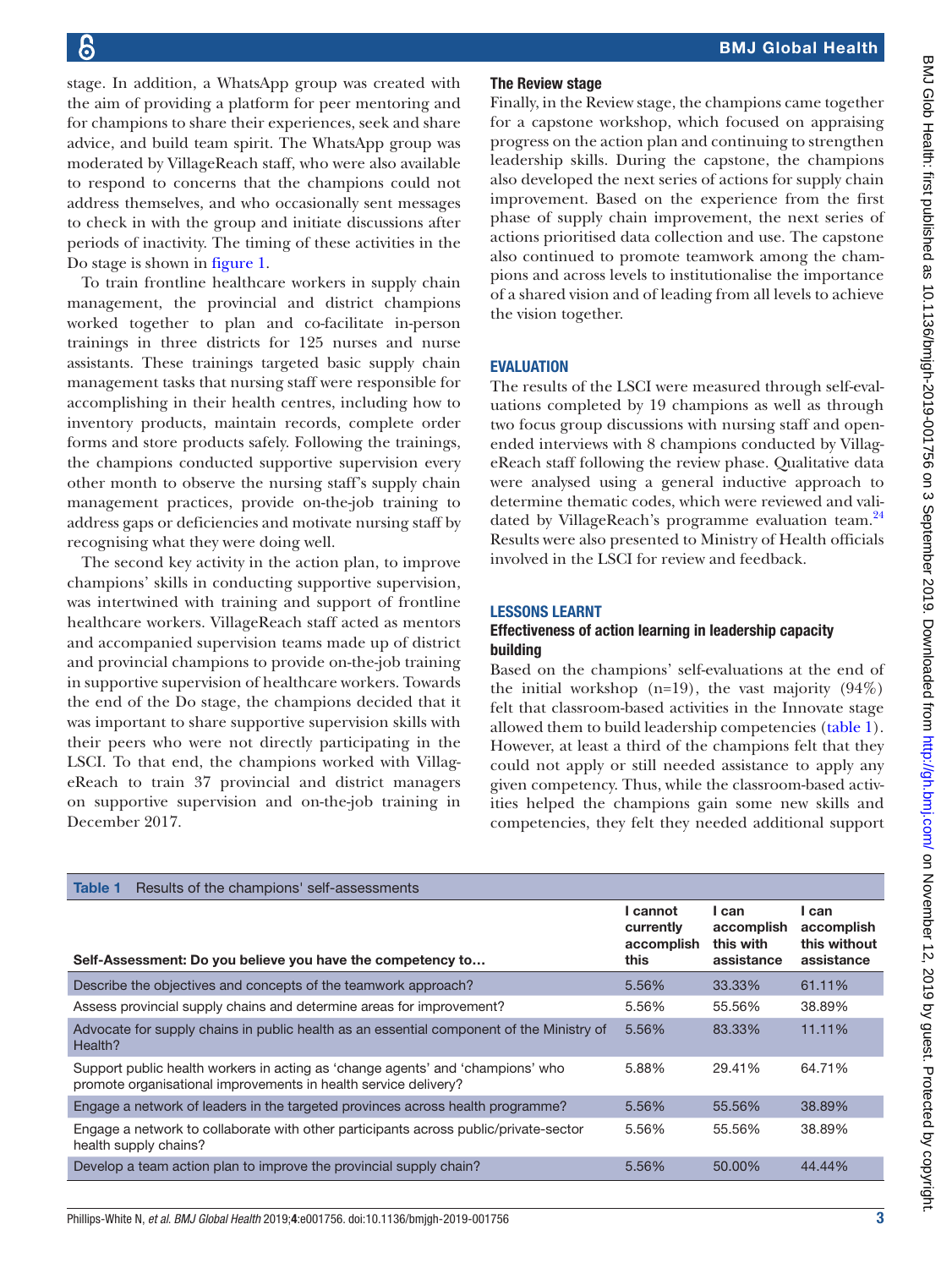Do stage is shown in [figure](#page-1-0) 1.

recognising what they were doing well.

December 2017.

stage. In addition, a WhatsApp group was created with the aim of providing a platform for peer mentoring and for champions to share their experiences, seek and share advice, and build team spirit. The WhatsApp group was moderated by VillageReach staff, who were also available to respond to concerns that the champions could not address themselves, and who occasionally sent messages to check in with the group and initiate discussions after periods of inactivity. The timing of these activities in the

To train frontline healthcare workers in supply chain management, the provincial and district champions worked together to plan and co-facilitate in-person trainings in three districts for 125 nurses and nurse assistants. These trainings targeted basic supply chain management tasks that nursing staff were responsible for accomplishing in their health centres, including how to inventory products, maintain records, complete order forms and store products safely. Following the trainings, the champions conducted supportive supervision every other month to observe the nursing staff's supply chain management practices, provide on-the-job training to address gaps or deficiencies and motivate nursing staff by

The second key activity in the action plan, to improve champions' skills in conducting supportive supervision, was intertwined with training and support of frontline healthcare workers. VillageReach staff acted as mentors and accompanied supervision teams made up of district and provincial champions to provide on-the-job training in supportive supervision of healthcare workers. Towards the end of the Do stage, the champions decided that it was important to share supportive supervision skills with their peers who were not directly participating in the LSCI. To that end, the champions worked with VillageReach to train 37 provincial and district managers on supportive supervision and on-the-job training in

BMJ Global Health Finally, in the Review stage, the champions came together for a capstone workshop, which focused on appraising progress on the action plan and continuing to strengthen leadership skills. During the capstone, the champions also developed the next series of actions for supply chain improvement. Based on the experience from the first phase of supply chain improvement, the next series of actions prioritised data collection and use. The capstone also continued to promote teamwork among the champions and across levels to institutionalise the importance of a shared vision and of leading from all levels to achieve

**EVALUATION** 

the vision together.

The Review stage

The results of the LSCI were measured through self-evaluations completed by 19 champions as well as through two focus group discussions with nursing staff and openended interviews with 8 champions conducted by VillageReach staff following the review phase. Qualitative data were analysed using a general inductive approach to determine thematic codes, which were reviewed and validated by VillageReach's programme evaluation team.<sup>24</sup> Results were also presented to Ministry of Health officials involved in the LSCI for review and feedback.

#### Lessons learnt

#### Effectiveness of action learning in leadership capacity building

Based on the champions' self-evaluations at the end of the initial workshop  $(n=19)$ , the vast majority  $(94\%)$ felt that classroom-based activities in the Innovate stage allowed them to build leadership competencies [\(table](#page-2-0) 1). However, at least a third of the champions felt that they could not apply or still needed assistance to apply any given competency. Thus, while the classroom-based activities helped the champions gain some new skills and competencies, they felt they needed additional support

<span id="page-2-0"></span>

| <b>Table 1</b><br>Results of the champions' self-assessments                                                                                      |                                             |                                                |                                                   |
|---------------------------------------------------------------------------------------------------------------------------------------------------|---------------------------------------------|------------------------------------------------|---------------------------------------------------|
| Self-Assessment: Do you believe you have the competency to                                                                                        | I cannot<br>currently<br>accomplish<br>this | I can<br>accomplish<br>this with<br>assistance | I can<br>accomplish<br>this without<br>assistance |
| Describe the objectives and concepts of the teamwork approach?                                                                                    | 5.56%                                       | 33.33%                                         | 61.11%                                            |
| Assess provincial supply chains and determine areas for improvement?                                                                              | 5.56%                                       | 55.56%                                         | 38.89%                                            |
| Advocate for supply chains in public health as an essential component of the Ministry of<br>Health?                                               | 5.56%                                       | 83.33%                                         | 11.11%                                            |
| Support public health workers in acting as 'change agents' and 'champions' who<br>promote organisational improvements in health service delivery? | 5.88%                                       | 29.41%                                         | 64.71%                                            |
| Engage a network of leaders in the targeted provinces across health programme?                                                                    | 5.56%                                       | 55.56%                                         | 38.89%                                            |
| Engage a network to collaborate with other participants across public/private-sector<br>health supply chains?                                     | 5.56%                                       | 55.56%                                         | 38.89%                                            |
| Develop a team action plan to improve the provincial supply chain?                                                                                | 5.56%                                       | 50.00%                                         | 44.44%                                            |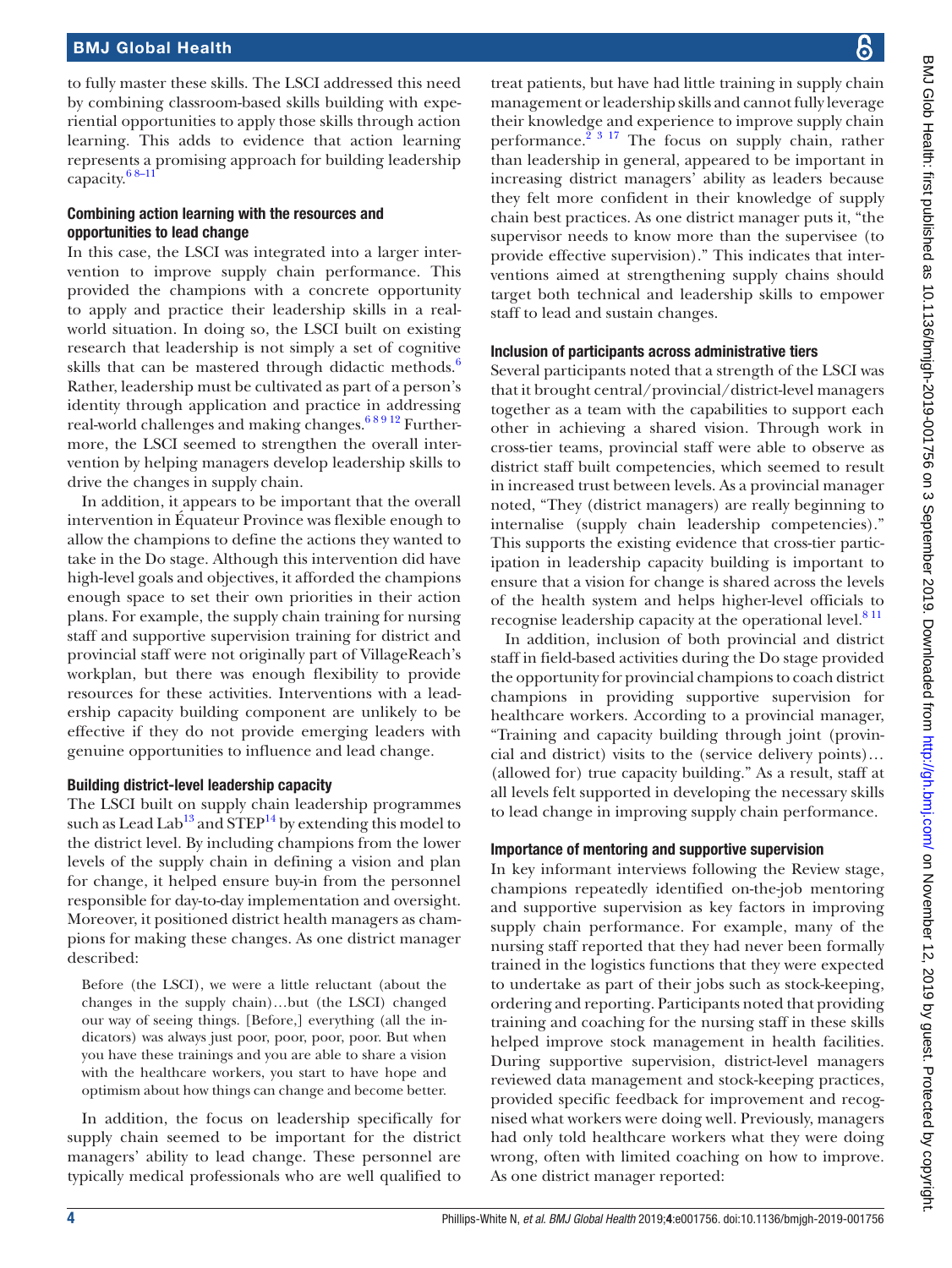to fully master these skills. The LSCI addressed this need by combining classroom-based skills building with experiential opportunities to apply those skills through action learning. This adds to evidence that action learning represents a promising approach for building leadership capacity.[6 8–11](#page-5-7)

# Combining action learning with the resources and opportunities to lead change

In this case, the LSCI was integrated into a larger intervention to improve supply chain performance. This provided the champions with a concrete opportunity to apply and practice their leadership skills in a realworld situation. In doing so, the LSCI built on existing research that leadership is not simply a set of cognitive skills that can be mastered through didactic methods. $6$ Rather, leadership must be cultivated as part of a person's identity through application and practice in addressing real-world challenges and making changes[.6 8 9 12](#page-5-7) Furthermore, the LSCI seemed to strengthen the overall intervention by helping managers develop leadership skills to drive the changes in supply chain.

In addition, it appears to be important that the overall intervention in Équateur Province was flexible enough to allow the champions to define the actions they wanted to take in the Do stage. Although this intervention did have high-level goals and objectives, it afforded the champions enough space to set their own priorities in their action plans. For example, the supply chain training for nursing staff and supportive supervision training for district and provincial staff were not originally part of VillageReach's workplan, but there was enough flexibility to provide resources for these activities. Interventions with a leadership capacity building component are unlikely to be effective if they do not provide emerging leaders with genuine opportunities to influence and lead change.

# Building district-level leadership capacity

The LSCI built on supply chain leadership programmes such as Lead Lab<sup>13</sup> and  $\widehat{\text{STEP}}^{14}$  by extending this model to the district level. By including champions from the lower levels of the supply chain in defining a vision and plan for change, it helped ensure buy-in from the personnel responsible for day-to-day implementation and oversight. Moreover, it positioned district health managers as champions for making these changes. As one district manager described:

Before (the LSCI), we were a little reluctant (about the changes in the supply chain)…but (the LSCI) changed our way of seeing things. [Before,] everything (all the indicators) was always just poor, poor, poor, poor. But when you have these trainings and you are able to share a vision with the healthcare workers, you start to have hope and optimism about how things can change and become better.

In addition, the focus on leadership specifically for supply chain seemed to be important for the district managers' ability to lead change. These personnel are typically medical professionals who are well qualified to

treat patients, but have had little training in supply chain management or leadership skills and cannot fully leverage their knowledge and experience to improve supply chain performance. $\frac{2}{3}$   $\frac{17}{7}$  The focus on supply chain, rather than leadership in general, appeared to be important in increasing district managers' ability as leaders because they felt more confident in their knowledge of supply chain best practices. As one district manager puts it, "the supervisor needs to know more than the supervisee (to provide effective supervision)." This indicates that interventions aimed at strengthening supply chains should target both technical and leadership skills to empower staff to lead and sustain changes.

# Inclusion of participants across administrative tiers

Several participants noted that a strength of the LSCI was that it brought central/provincial/district-level managers together as a team with the capabilities to support each other in achieving a shared vision. Through work in cross-tier teams, provincial staff were able to observe as district staff built competencies, which seemed to result in increased trust between levels. As a provincial manager noted, "They (district managers) are really beginning to internalise (supply chain leadership competencies)." This supports the existing evidence that cross-tier participation in leadership capacity building is important to ensure that a vision for change is shared across the levels of the health system and helps higher-level officials to recognise leadership capacity at the operational level.<sup>811</sup>

In addition, inclusion of both provincial and district staff in field-based activities during the Do stage provided the opportunity for provincial champions to coach district champions in providing supportive supervision for healthcare workers. According to a provincial manager, "Training and capacity building through joint (provincial and district) visits to the (service delivery points)… (allowed for) true capacity building." As a result, staff at all levels felt supported in developing the necessary skills to lead change in improving supply chain performance.

# Importance of mentoring and supportive supervision

In key informant interviews following the Review stage, champions repeatedly identified on-the-job mentoring and supportive supervision as key factors in improving supply chain performance. For example, many of the nursing staff reported that they had never been formally trained in the logistics functions that they were expected to undertake as part of their jobs such as stock-keeping, ordering and reporting. Participants noted that providing training and coaching for the nursing staff in these skills helped improve stock management in health facilities. During supportive supervision, district-level managers reviewed data management and stock-keeping practices, provided specific feedback for improvement and recognised what workers were doing well. Previously, managers had only told healthcare workers what they were doing wrong, often with limited coaching on how to improve. As one district manager reported: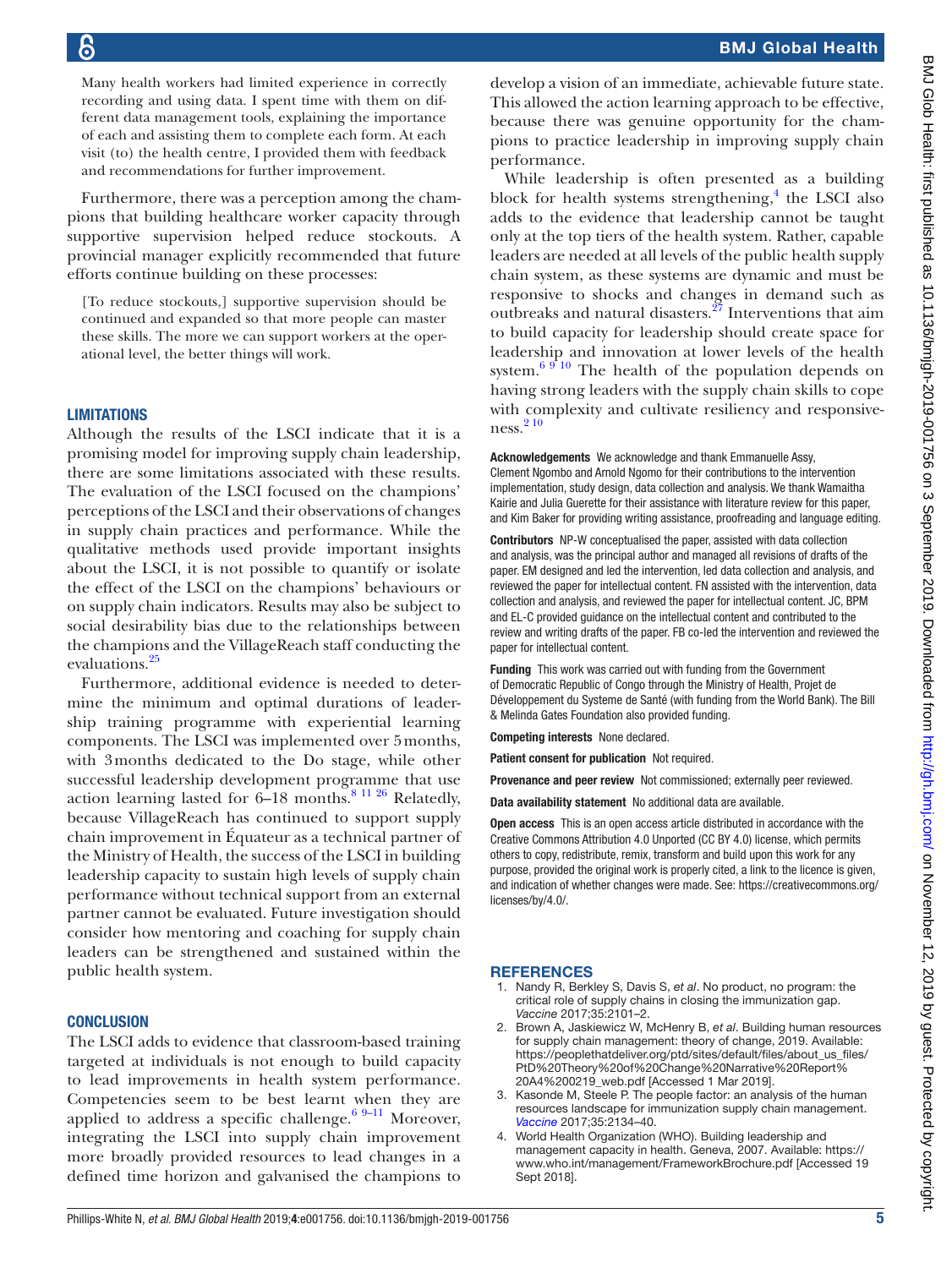Many health workers had limited experience in correctly recording and using data. I spent time with them on different data management tools, explaining the importance of each and assisting them to complete each form. At each visit (to) the health centre, I provided them with feedback and recommendations for further improvement.

Furthermore, there was a perception among the champions that building healthcare worker capacity through supportive supervision helped reduce stockouts. A provincial manager explicitly recommended that future efforts continue building on these processes:

[To reduce stockouts,] supportive supervision should be continued and expanded so that more people can master these skills. The more we can support workers at the operational level, the better things will work.

# **LIMITATIONS**

Although the results of the LSCI indicate that it is a promising model for improving supply chain leadership, there are some limitations associated with these results. The evaluation of the LSCI focused on the champions' perceptions of the LSCI and their observations of changes in supply chain practices and performance. While the qualitative methods used provide important insights about the LSCI, it is not possible to quantify or isolate the effect of the LSCI on the champions' behaviours or on supply chain indicators. Results may also be subject to social desirability bias due to the relationships between the champions and the VillageReach staff conducting the evaluations[.25](#page-5-12)

Furthermore, additional evidence is needed to determine the minimum and optimal durations of leadership training programme with experiential learning components. The LSCI was implemented over 5months, with 3months dedicated to the Do stage, while other successful leadership development programme that use action learning lasted for 6–18 months.<sup>[8 11 26](#page-5-2)</sup> Relatedly, because VillageReach has continued to support supply chain improvement in Équateur as a technical partner of the Ministry of Health, the success of the LSCI in building leadership capacity to sustain high levels of supply chain performance without technical support from an external partner cannot be evaluated. Future investigation should consider how mentoring and coaching for supply chain leaders can be strengthened and sustained within the public health system.

# **CONCLUSION**

The LSCI adds to evidence that classroom-based training targeted at individuals is not enough to build capacity to lead improvements in health system performance. Competencies seem to be best learnt when they are applied to address a specific challenge.<sup>[6 9–11](#page-5-7)</sup> Moreover, integrating the LSCI into supply chain improvement more broadly provided resources to lead changes in a defined time horizon and galvanised the champions to

develop a vision of an immediate, achievable future state. This allowed the action learning approach to be effective, because there was genuine opportunity for the champions to practice leadership in improving supply chain performance.

While leadership is often presented as a building block for health systems strengthening,<sup>4</sup> the LSCI also adds to the evidence that leadership cannot be taught only at the top tiers of the health system. Rather, capable leaders are needed at all levels of the public health supply chain system, as these systems are dynamic and must be responsive to shocks and changes in demand such as outbreaks and natural disasters.<sup>27</sup> Interventions that aim to build capacity for leadership should create space for leadership and innovation at lower levels of the health system.<sup>[6 9 10](#page-5-7)</sup> The health of the population depends on having strong leaders with the supply chain skills to cope with complexity and cultivate resiliency and responsiveness.[2 10](#page-4-1)

Acknowledgements We acknowledge and thank Emmanuelle Assy, Clement Ngombo and Arnold Ngomo for their contributions to the intervention implementation, study design, data collection and analysis. We thank Wamaitha Kairie and Julia Guerette for their assistance with literature review for this paper, and Kim Baker for providing writing assistance, proofreading and language editing.

Contributors NP-W conceptualised the paper, assisted with data collection and analysis, was the principal author and managed all revisions of drafts of the paper. EM designed and led the intervention, led data collection and analysis, and reviewed the paper for intellectual content. FN assisted with the intervention, data collection and analysis, and reviewed the paper for intellectual content. JC, BPM and EL-C provided guidance on the intellectual content and contributed to the review and writing drafts of the paper. FB co-led the intervention and reviewed the paper for intellectual content.

Funding This work was carried out with funding from the Government of Democratic Republic of Congo through the Ministry of Health, Projet de Développement du Systeme de Santé (with funding from the World Bank). The Bill & Melinda Gates Foundation also provided funding.

Competing interests None declared.

Patient consent for publication Not required.

Provenance and peer review Not commissioned; externally peer reviewed.

Data availability statement No additional data are available.

Open access This is an open access article distributed in accordance with the Creative Commons Attribution 4.0 Unported (CC BY 4.0) license, which permits others to copy, redistribute, remix, transform and build upon this work for any purpose, provided the original work is properly cited, a link to the licence is given, and indication of whether changes were made. See: [https://creativecommons.org/](https://creativecommons.org/licenses/by/4.0/) [licenses/by/4.0/](https://creativecommons.org/licenses/by/4.0/).

#### **REFERENCES**

- <span id="page-4-0"></span>1. Nandy R, Berkley S, Davis S, *et al*. No product, no program: the critical role of supply chains in closing the immunization gap. *Vaccine* 2017;35:2101–2.
- <span id="page-4-1"></span>2. Brown A, Jaskiewicz W, McHenry B, *et al*. Building human resources for supply chain management: theory of change, 2019. Available: [https://peoplethatdeliver.org/ptd/sites/default/files/about\\_us\\_files/](https://peoplethatdeliver.org/ptd/sites/default/files/about_us_files/PtD%20Theory%20of%20Change%20Narrative%20Report%20A4%200219_web.pdf) [PtD%20Theory%20of%20Change%20Narrative%20Report%](https://peoplethatdeliver.org/ptd/sites/default/files/about_us_files/PtD%20Theory%20of%20Change%20Narrative%20Report%20A4%200219_web.pdf) [20A4%200219\\_web.pdf](https://peoplethatdeliver.org/ptd/sites/default/files/about_us_files/PtD%20Theory%20of%20Change%20Narrative%20Report%20A4%200219_web.pdf) [Accessed 1 Mar 2019].
- 3. Kasonde M, Steele P. The people factor: an analysis of the human resources landscape for immunization supply chain management. *[Vaccine](http://dx.doi.org/10.1016/j.vaccine.2017.01.084)* 2017;35:2134–40.
- <span id="page-4-2"></span>4. World Health Organization (WHO). Building leadership and management capacity in health. Geneva, 2007. Available: [https://](https://www.who.int/management/FrameworkBrochure.pdf) [www.who.int/management/FrameworkBrochure.pdf](https://www.who.int/management/FrameworkBrochure.pdf) [Accessed 19 Sept 2018].